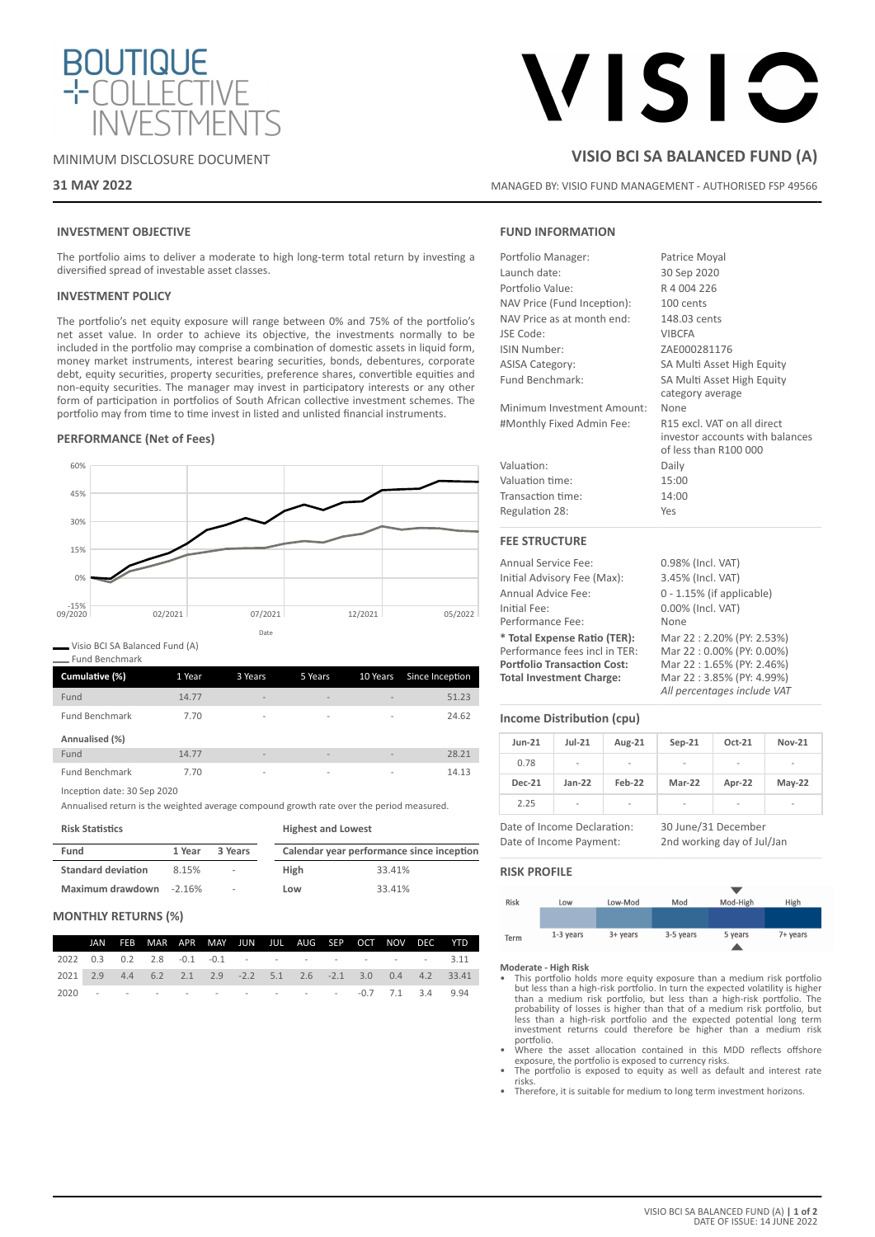

## MINIMUM DISCLOSURE DOCUMENT

## **31 MAY 2022**

# VISIC

## **VISIO BCI SA BALANCED FUND (A)**

MANAGED BY: VISIO FUND MANAGEMENT - AUTHORISED FSP 49566

## **INVESTMENT OBJECTIVE**

The portfolio aims to deliver a moderate to high long-term total return by investing a diversified spread of investable asset classes.

## **INVESTMENT POLICY**

The portfolio's net equity exposure will range between 0% and 75% of the portfolio's net asset value. In order to achieve its objective, the investments normally to be included in the portfolio may comprise a combination of domestic assets in liquid form, money market instruments, interest bearing securities, bonds, debentures, corporate debt, equity securities, property securities, preference shares, convertible equities and non-equity securities. The manager may invest in participatory interests or any other form of participation in portfolios of South African collective investment schemes. The portfolio may from time to time invest in listed and unlisted financial instruments.

## **PERFORMANCE (Net of Fees)**



Visio BCI SA Balanced Fund (A)

Fund Benchmark

| Cumulative (%)        | 1 Year | 3 Years                  | 5 Years                  | 10 Years                 | Since Inception |
|-----------------------|--------|--------------------------|--------------------------|--------------------------|-----------------|
| Fund                  | 14.77  | $\overline{\phantom{a}}$ | $\qquad \qquad$          | $\overline{\phantom{a}}$ | 51.23           |
| <b>Fund Benchmark</b> | 7.70   | -                        | -                        | $\overline{\phantom{a}}$ | 24.62           |
| Annualised (%)        |        |                          |                          |                          |                 |
| Fund                  | 14.77  | $\overline{\phantom{a}}$ | -                        | $\overline{\phantom{a}}$ | 28.21           |
| <b>Fund Benchmark</b> | 7.70   | $\overline{\phantom{a}}$ | $\overline{\phantom{a}}$ | $\overline{\phantom{a}}$ | 14.13           |

Inception date: 30 Sep 2020

Annualised return is the weighted average compound growth rate over the period measured.

| <b>Risk Statistics</b>    |          |                          | <b>Highest and Lowest</b> |                                           |  |  |
|---------------------------|----------|--------------------------|---------------------------|-------------------------------------------|--|--|
| Fund                      | 1 Year   | 3 Years                  |                           | Calendar year performance since inception |  |  |
| <b>Standard deviation</b> | 8.15%    | ٠                        | High                      | 33.41%                                    |  |  |
| Maximum drawdown          | $-2.16%$ | $\overline{\phantom{a}}$ | Low                       | 33.41%                                    |  |  |

## **MONTHLY RETURNS (%)**

|  | JAN FEB MAR APR MAY JUN JUL AUG SEP OCT NOV DEC YTD |  |  |  |  |                                                                           |
|--|-----------------------------------------------------|--|--|--|--|---------------------------------------------------------------------------|
|  | 2022 0.3 0.2 2.8 -0.1 -0.1 - - - - - - - - - 3.11   |  |  |  |  |                                                                           |
|  |                                                     |  |  |  |  | 2021  2.9  4.4  6.2  2.1  2.9  -2.2  5.1  2.6  -2.1  3.0  0.4  4.2  33.41 |
|  |                                                     |  |  |  |  |                                                                           |

## **FUND INFORMATION**

| Portfolio Manager:          | Patrice Moyal                                                                           |
|-----------------------------|-----------------------------------------------------------------------------------------|
| Launch date:                | 30 Sep 2020                                                                             |
| Portfolio Value:            | R 4 004 226                                                                             |
| NAV Price (Fund Inception): | 100 cents                                                                               |
| NAV Price as at month end:  | 148.03 cents                                                                            |
| JSE Code:                   | <b>VIBCFA</b>                                                                           |
| <b>ISIN Number:</b>         | ZAE000281176                                                                            |
| <b>ASISA Category:</b>      | SA Multi Asset High Equity                                                              |
| Fund Benchmark:             | SA Multi Asset High Equity<br>category average                                          |
| Minimum Investment Amount:  | None                                                                                    |
| #Monthly Fixed Admin Fee:   | R15 excl. VAT on all direct<br>investor accounts with balances<br>of less than R100 000 |
| Valuation:                  | Daily                                                                                   |
| Valuation time:             | 15:00                                                                                   |
| Transaction time:           | 14:00                                                                                   |
| Regulation 28:              | Yes                                                                                     |
| <b>FEE STRUCTURE</b>        |                                                                                         |
| <b>Annual Service Fee:</b>  | 0.98% (Incl. VAT)                                                                       |

| Annual Service Fee:                | <b>U.98% (INCL VAL)</b>      |
|------------------------------------|------------------------------|
| Initial Advisory Fee (Max):        | 3.45% (Incl. VAT)            |
| Annual Advice Fee:                 | $0 - 1.15\%$ (if applicable) |
| Initial Fee:                       | 0.00% (Incl. VAT)            |
| Performance Fee:                   | None                         |
| * Total Expense Ratio (TER):       | Mar 22:2.20% (PY: 2.53%)     |
| Performance fees incl in TER:      | Mar 22:0.00% (PY: 0.00%)     |
| <b>Portfolio Transaction Cost:</b> | Mar 22:1.65% (PY: 2.46%)     |
| <b>Total Investment Charge:</b>    | Mar 22:3.85% (PY: 4.99%)     |
|                                    | All percentages include VAT  |

## **Income Distribution (cpu)**

| <b>Jun-21</b>               | $Jul-21$ | Aug-21 | $Sep-21$            | Oct-21                   | <b>Nov-21</b>            |
|-----------------------------|----------|--------|---------------------|--------------------------|--------------------------|
| 0.78                        | -        | -      | ٠                   | $\overline{\phantom{a}}$ | -                        |
| <b>Dec-21</b>               | $Jan-22$ | Feb-22 | Mar-22              | Apr-22                   | $May-22$                 |
| 2.25                        | ۰        | -      | ٠                   | $\overline{\phantom{a}}$ | $\overline{\phantom{a}}$ |
| Date of Income Declaration: |          |        | 30 June/31 December |                          |                          |

Date of Income Payment: 2nd working day of Jul/Jan

## **RISK PROFILE**



- **Moderate High Risk** This portfolio holds more equity exposure than a medium risk portfolio but less than a high-risk portfolio. In turn the expected volatility is higher<br>than a medium risk portfolio, but less than a high-risk portfolio. The<br>probability of losses is higher than that of a medium risk portfolio, bu portfolio.
- Where the asset allocation contained in this MDD reflects offshore
- exposure, the portfolio is exposed to currency risks. The portfolio is exposed to equity as well as default and interest rate risks.
- Therefore, it is suitable for medium to long term investment horizons.